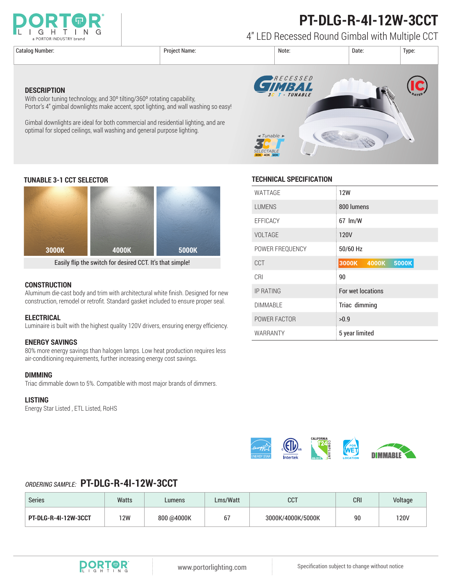

# **PT-DLG-R-4I-12W-3CCT**

4" LED Recessed Round Gimbal with Multiple CCT

**DESCRIPTION**



### **TUNABLE 3-1 CCT SELECTOR TECHNICAL SPECIFICATION**



With color tuning technology, and 30<sup>°</sup> tilting/360<sup>°</sup> rotating capability,

optimal for sloped ceilings, wall washing and general purpose lighting.

Portor's 4" gimbal downlights make accent, spot lighting, and wall washing so easy!

Gimbal downlights are ideal for both commercial and residential lighting, and are

Easily flip the switch for desired CCT. It's that simple!

#### **CONSTRUCTION**

Aluminum die-cast body and trim with architectural white finish. Designed for new construction, remodel or retrofit. Standard gasket included to ensure proper seal.

#### **ELECTRICAL**

Luminaire is built with the highest quality 120V drivers, ensuring energy efficiency.

#### **ENERGY SAVINGS**

80% more energy savings than halogen lamps. Low heat production requires less air-conditioning requirements, further increasing energy cost savings.

#### **DIMMING**

Triac dimmable down to 5%. Compatible with most major brands of dimmers.

#### **LISTING**

Energy Star Listed , ETL Listed, RoHS

| WATTAGE          | <b>12W</b>                     |  |  |  |
|------------------|--------------------------------|--|--|--|
| <b>LUMENS</b>    | 800 lumens                     |  |  |  |
| <b>EFFICACY</b>  | 67 lm/W                        |  |  |  |
| <b>VOLTAGE</b>   | <b>120V</b>                    |  |  |  |
| POWER FREQUENCY  | 50/60 Hz                       |  |  |  |
| CCT              | 3000K<br><b>5000K</b><br>4000K |  |  |  |
| CRI              | 90                             |  |  |  |
| <b>IP RATING</b> | For wet locations              |  |  |  |
| <b>DIMMABLE</b>  | Triac dimming                  |  |  |  |
| POWER FACTOR     | >0.9                           |  |  |  |
| WARRANTY         | 5 year limited                 |  |  |  |



### *ORDERING SAMPLE:* **PT-DLG-R-4I-12W-3CCT**

| <b>Series</b>               | Watts | Lumens     | Lms/Watt | <b>COT</b><br>ບບ⊺ | CRI | Voltage |
|-----------------------------|-------|------------|----------|-------------------|-----|---------|
| <b>PT-DLG-R-4I-12W-3CCT</b> | 12W   | 800 @4000K | υ.       | 3000K/4000K/5000K | 90  | 120V    |